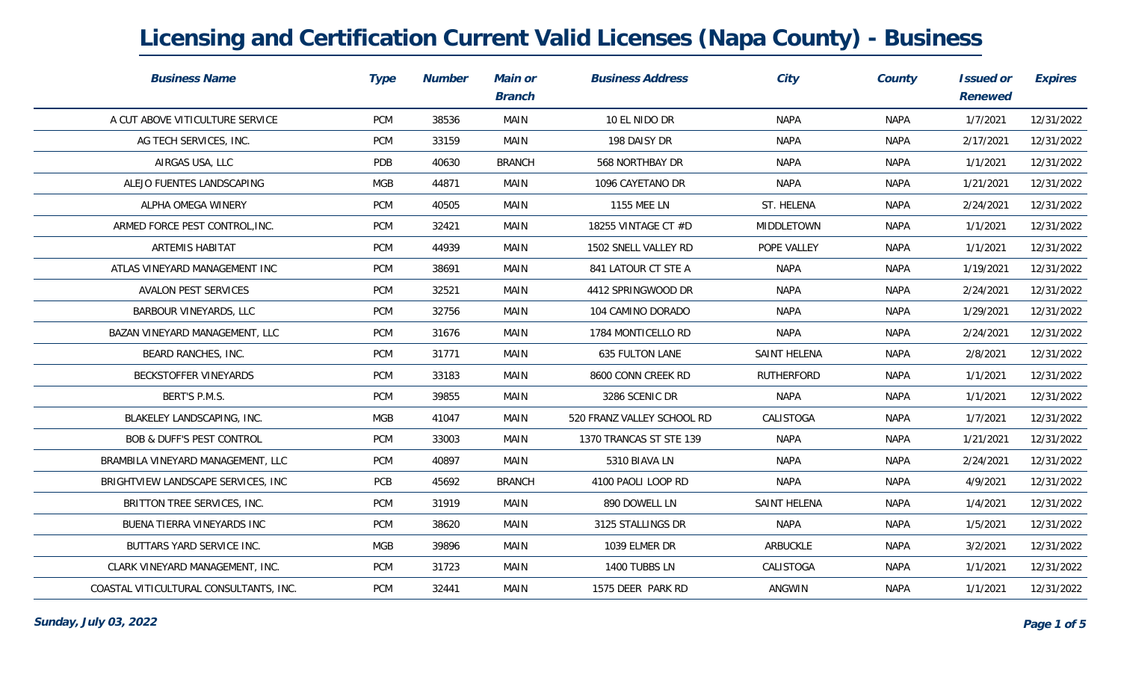| <b>Business Name</b>                   | Type       | <b>Number</b> | Main or<br><b>Branch</b> | <b>Business Address</b>    | City              | County      | Issued or<br>Renewed | Expires    |
|----------------------------------------|------------|---------------|--------------------------|----------------------------|-------------------|-------------|----------------------|------------|
| A CUT ABOVE VITICULTURE SERVICE        | <b>PCM</b> | 38536         | MAIN                     | 10 EL NIDO DR              | <b>NAPA</b>       | <b>NAPA</b> | 1/7/2021             | 12/31/2022 |
| AG TECH SERVICES, INC.                 | <b>PCM</b> | 33159         | MAIN                     | 198 DAISY DR               | <b>NAPA</b>       | <b>NAPA</b> | 2/17/2021            | 12/31/2022 |
| AIRGAS USA, LLC                        | PDB        | 40630         | <b>BRANCH</b>            | 568 NORTHBAY DR            | <b>NAPA</b>       | <b>NAPA</b> | 1/1/2021             | 12/31/2022 |
| ALEJO FUENTES LANDSCAPING              | <b>MGB</b> | 44871         | MAIN                     | 1096 CAYETANO DR           | <b>NAPA</b>       | <b>NAPA</b> | 1/21/2021            | 12/31/2022 |
| ALPHA OMEGA WINERY                     | <b>PCM</b> | 40505         | MAIN                     | 1155 MEE LN                | ST. HELENA        | <b>NAPA</b> | 2/24/2021            | 12/31/2022 |
| ARMED FORCE PEST CONTROL, INC.         | <b>PCM</b> | 32421         | MAIN                     | 18255 VINTAGE CT #D        | MIDDLETOWN        | <b>NAPA</b> | 1/1/2021             | 12/31/2022 |
| ARTEMIS HABITAT                        | <b>PCM</b> | 44939         | <b>MAIN</b>              | 1502 SNELL VALLEY RD       | POPE VALLEY       | <b>NAPA</b> | 1/1/2021             | 12/31/2022 |
| ATLAS VINEYARD MANAGEMENT INC          | <b>PCM</b> | 38691         | <b>MAIN</b>              | 841 LATOUR CT STE A        | <b>NAPA</b>       | <b>NAPA</b> | 1/19/2021            | 12/31/2022 |
| AVALON PEST SERVICES                   | <b>PCM</b> | 32521         | MAIN                     | 4412 SPRINGWOOD DR         | <b>NAPA</b>       | <b>NAPA</b> | 2/24/2021            | 12/31/2022 |
| BARBOUR VINEYARDS, LLC                 | <b>PCM</b> | 32756         | MAIN                     | 104 CAMINO DORADO          | <b>NAPA</b>       | <b>NAPA</b> | 1/29/2021            | 12/31/2022 |
| BAZAN VINEYARD MANAGEMENT, LLC         | <b>PCM</b> | 31676         | MAIN                     | 1784 MONTICELLO RD         | <b>NAPA</b>       | <b>NAPA</b> | 2/24/2021            | 12/31/2022 |
| BEARD RANCHES, INC.                    | <b>PCM</b> | 31771         | MAIN                     | 635 FULTON LANE            | SAINT HELENA      | <b>NAPA</b> | 2/8/2021             | 12/31/2022 |
| BECKSTOFFER VINEYARDS                  | <b>PCM</b> | 33183         | MAIN                     | 8600 CONN CREEK RD         | <b>RUTHERFORD</b> | <b>NAPA</b> | 1/1/2021             | 12/31/2022 |
| BERT'S P.M.S.                          | <b>PCM</b> | 39855         | MAIN                     | 3286 SCENIC DR             | <b>NAPA</b>       | <b>NAPA</b> | 1/1/2021             | 12/31/2022 |
| BLAKELEY LANDSCAPING, INC.             | <b>MGB</b> | 41047         | MAIN                     | 520 FRANZ VALLEY SCHOOL RD | CALISTOGA         | <b>NAPA</b> | 1/7/2021             | 12/31/2022 |
| <b>BOB &amp; DUFF'S PEST CONTROL</b>   | <b>PCM</b> | 33003         | MAIN                     | 1370 TRANCAS ST STE 139    | <b>NAPA</b>       | <b>NAPA</b> | 1/21/2021            | 12/31/2022 |
| BRAMBILA VINEYARD MANAGEMENT, LLC      | <b>PCM</b> | 40897         | MAIN                     | 5310 BIAVA LN              | <b>NAPA</b>       | <b>NAPA</b> | 2/24/2021            | 12/31/2022 |
| BRIGHTVIEW LANDSCAPE SERVICES, INC     | PCB        | 45692         | <b>BRANCH</b>            | 4100 PAOLI LOOP RD         | <b>NAPA</b>       | <b>NAPA</b> | 4/9/2021             | 12/31/2022 |
| BRITTON TREE SERVICES, INC.            | <b>PCM</b> | 31919         | MAIN                     | 890 DOWELL LN              | SAINT HELENA      | <b>NAPA</b> | 1/4/2021             | 12/31/2022 |
| BUENA TIERRA VINEYARDS INC             | <b>PCM</b> | 38620         | MAIN                     | 3125 STALLINGS DR          | <b>NAPA</b>       | <b>NAPA</b> | 1/5/2021             | 12/31/2022 |
| BUTTARS YARD SERVICE INC.              | MGB        | 39896         | MAIN                     | 1039 ELMER DR              | ARBUCKLE          | <b>NAPA</b> | 3/2/2021             | 12/31/2022 |
| CLARK VINEYARD MANAGEMENT, INC.        | <b>PCM</b> | 31723         | MAIN                     | 1400 TUBBS LN              | CALISTOGA         | <b>NAPA</b> | 1/1/2021             | 12/31/2022 |
| COASTAL VITICULTURAL CONSULTANTS, INC. | <b>PCM</b> | 32441         | <b>MAIN</b>              | 1575 DEER PARK RD          | ANGWIN            | <b>NAPA</b> | 1/1/2021             | 12/31/2022 |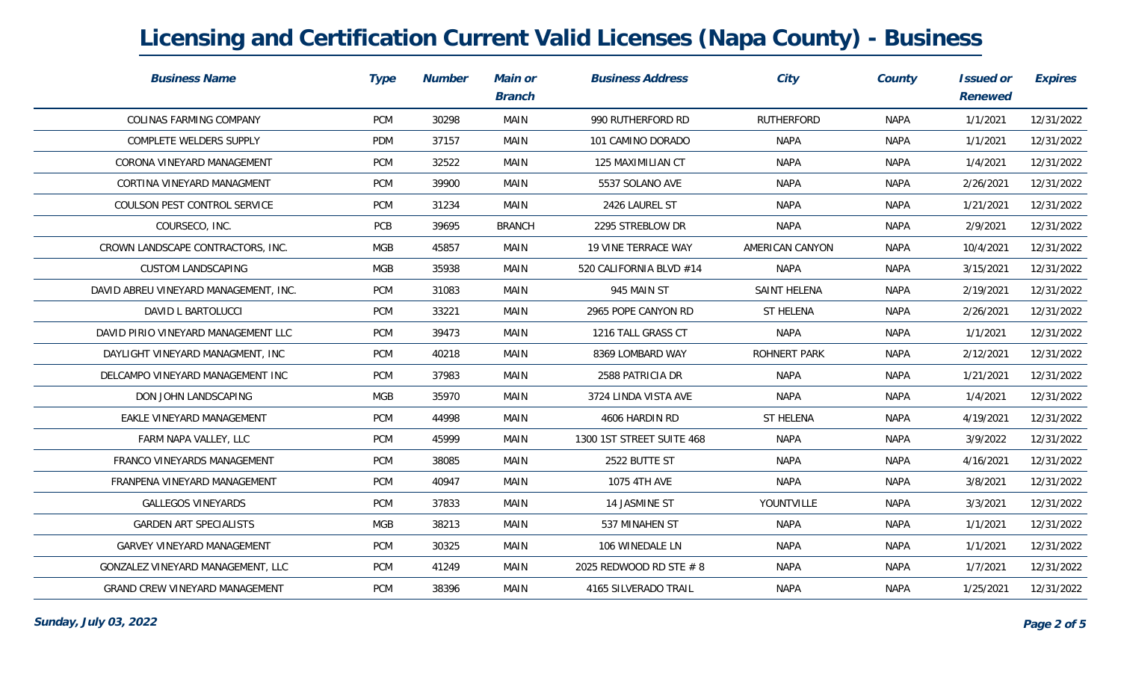| <b>Business Name</b>                  | Type       | <b>Number</b> | Main or<br><b>Branch</b> | <b>Business Address</b>   | City              | County      | Issued or<br>Renewed | Expires    |
|---------------------------------------|------------|---------------|--------------------------|---------------------------|-------------------|-------------|----------------------|------------|
| COLINAS FARMING COMPANY               | <b>PCM</b> | 30298         | MAIN                     | 990 RUTHERFORD RD         | <b>RUTHERFORD</b> | <b>NAPA</b> | 1/1/2021             | 12/31/2022 |
| COMPLETE WELDERS SUPPLY               | PDM        | 37157         | MAIN                     | 101 CAMINO DORADO         | <b>NAPA</b>       | <b>NAPA</b> | 1/1/2021             | 12/31/2022 |
| CORONA VINEYARD MANAGEMENT            | <b>PCM</b> | 32522         | MAIN                     | 125 MAXIMILIAN CT         | <b>NAPA</b>       | <b>NAPA</b> | 1/4/2021             | 12/31/2022 |
| CORTINA VINEYARD MANAGMENT            | <b>PCM</b> | 39900         | MAIN                     | 5537 SOLANO AVE           | <b>NAPA</b>       | <b>NAPA</b> | 2/26/2021            | 12/31/2022 |
| COULSON PEST CONTROL SERVICE          | <b>PCM</b> | 31234         | MAIN                     | 2426 LAUREL ST            | <b>NAPA</b>       | NAPA        | 1/21/2021            | 12/31/2022 |
| COURSECO, INC.                        | PCB        | 39695         | <b>BRANCH</b>            | 2295 STREBLOW DR          | <b>NAPA</b>       | <b>NAPA</b> | 2/9/2021             | 12/31/2022 |
| CROWN LANDSCAPE CONTRACTORS, INC.     | MGB        | 45857         | MAIN                     | 19 VINE TERRACE WAY       | AMERICAN CANYON   | <b>NAPA</b> | 10/4/2021            | 12/31/2022 |
| <b>CUSTOM LANDSCAPING</b>             | <b>MGB</b> | 35938         | MAIN                     | 520 CALIFORNIA BLVD #14   | <b>NAPA</b>       | <b>NAPA</b> | 3/15/2021            | 12/31/2022 |
| DAVID ABREU VINEYARD MANAGEMENT, INC. | <b>PCM</b> | 31083         | MAIN                     | 945 MAIN ST               | SAINT HELENA      | <b>NAPA</b> | 2/19/2021            | 12/31/2022 |
| DAVID L BARTOLUCCI                    | <b>PCM</b> | 33221         | MAIN                     | 2965 POPE CANYON RD       | ST HELENA         | <b>NAPA</b> | 2/26/2021            | 12/31/2022 |
| DAVID PIRIO VINEYARD MANAGEMENT LLC   | <b>PCM</b> | 39473         | MAIN                     | 1216 TALL GRASS CT        | <b>NAPA</b>       | <b>NAPA</b> | 1/1/2021             | 12/31/2022 |
| DAYLIGHT VINEYARD MANAGMENT, INC      | <b>PCM</b> | 40218         | MAIN                     | 8369 LOMBARD WAY          | ROHNERT PARK      | <b>NAPA</b> | 2/12/2021            | 12/31/2022 |
| DELCAMPO VINEYARD MANAGEMENT INC      | <b>PCM</b> | 37983         | MAIN                     | 2588 PATRICIA DR          | <b>NAPA</b>       | <b>NAPA</b> | 1/21/2021            | 12/31/2022 |
| DON JOHN LANDSCAPING                  | <b>MGB</b> | 35970         | MAIN                     | 3724 LINDA VISTA AVE      | <b>NAPA</b>       | <b>NAPA</b> | 1/4/2021             | 12/31/2022 |
| EAKLE VINEYARD MANAGEMENT             | <b>PCM</b> | 44998         | MAIN                     | 4606 HARDIN RD            | ST HELENA         | <b>NAPA</b> | 4/19/2021            | 12/31/2022 |
| FARM NAPA VALLEY, LLC                 | <b>PCM</b> | 45999         | MAIN                     | 1300 1ST STREET SUITE 468 | <b>NAPA</b>       | <b>NAPA</b> | 3/9/2022             | 12/31/2022 |
| FRANCO VINEYARDS MANAGEMENT           | <b>PCM</b> | 38085         | MAIN                     | 2522 BUTTE ST             | <b>NAPA</b>       | <b>NAPA</b> | 4/16/2021            | 12/31/2022 |
| FRANPENA VINEYARD MANAGEMENT          | <b>PCM</b> | 40947         | MAIN                     | 1075 4TH AVE              | <b>NAPA</b>       | <b>NAPA</b> | 3/8/2021             | 12/31/2022 |
| <b>GALLEGOS VINEYARDS</b>             | <b>PCM</b> | 37833         | MAIN                     | 14 JASMINE ST             | YOUNTVILLE        | <b>NAPA</b> | 3/3/2021             | 12/31/2022 |
| <b>GARDEN ART SPECIALISTS</b>         | <b>MGB</b> | 38213         | MAIN                     | 537 MINAHEN ST            | <b>NAPA</b>       | <b>NAPA</b> | 1/1/2021             | 12/31/2022 |
| GARVEY VINEYARD MANAGEMENT            | <b>PCM</b> | 30325         | MAIN                     | 106 WINEDALE LN           | <b>NAPA</b>       | <b>NAPA</b> | 1/1/2021             | 12/31/2022 |
| GONZALEZ VINEYARD MANAGEMENT, LLC     | <b>PCM</b> | 41249         | MAIN                     | 2025 REDWOOD RD STE # 8   | <b>NAPA</b>       | <b>NAPA</b> | 1/7/2021             | 12/31/2022 |
| <b>GRAND CREW VINEYARD MANAGEMENT</b> | <b>PCM</b> | 38396         | MAIN                     | 4165 SILVERADO TRAIL      | <b>NAPA</b>       | <b>NAPA</b> | 1/25/2021            | 12/31/2022 |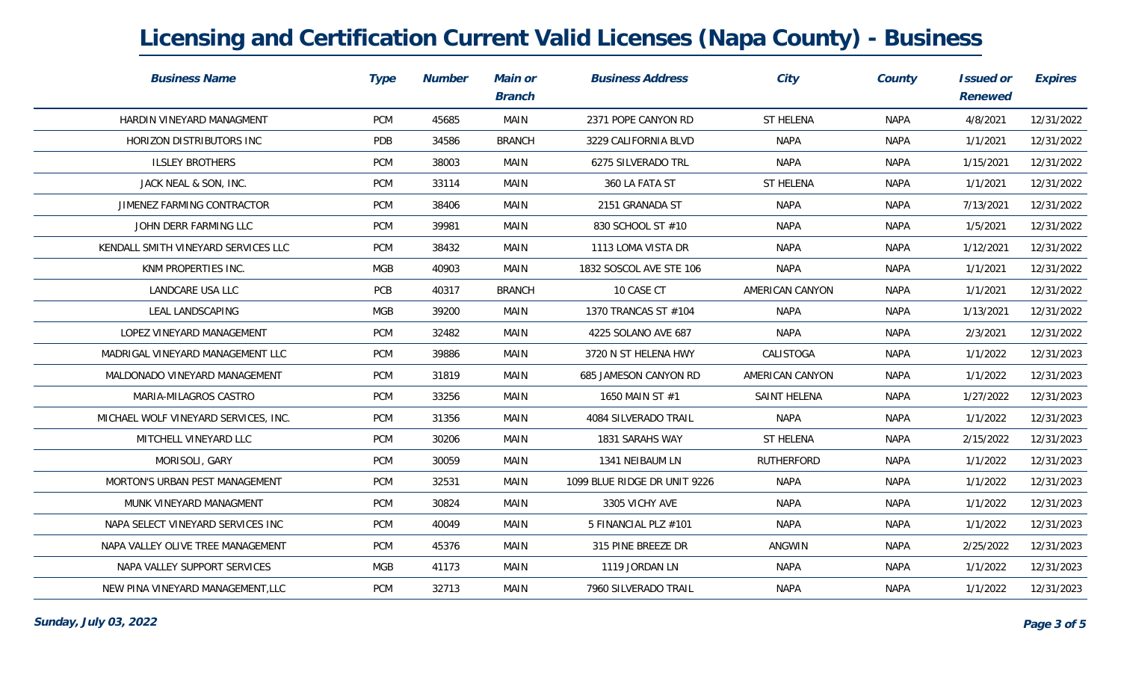| <b>Business Name</b>                 | Type       | <b>Number</b> | Main or<br><b>Branch</b> | <b>Business Address</b>      | City            | County      | Issued or<br>Renewed | Expires    |
|--------------------------------------|------------|---------------|--------------------------|------------------------------|-----------------|-------------|----------------------|------------|
| HARDIN VINEYARD MANAGMENT            | PCM        | 45685         | <b>MAIN</b>              | 2371 POPE CANYON RD          | ST HELENA       | <b>NAPA</b> | 4/8/2021             | 12/31/2022 |
| HORIZON DISTRIBUTORS INC             | PDB        | 34586         | <b>BRANCH</b>            | 3229 CALIFORNIA BLVD         | <b>NAPA</b>     | <b>NAPA</b> | 1/1/2021             | 12/31/2022 |
| <b>ILSLEY BROTHERS</b>               | PCM        | 38003         | <b>MAIN</b>              | 6275 SILVERADO TRL           | <b>NAPA</b>     | <b>NAPA</b> | 1/15/2021            | 12/31/2022 |
| JACK NEAL & SON, INC.                | PCM        | 33114         | <b>MAIN</b>              | 360 LA FATA ST               | ST HELENA       | <b>NAPA</b> | 1/1/2021             | 12/31/2022 |
| JIMENEZ FARMING CONTRACTOR           | PCM        | 38406         | <b>MAIN</b>              | 2151 GRANADA ST              | <b>NAPA</b>     | <b>NAPA</b> | 7/13/2021            | 12/31/2022 |
| JOHN DERR FARMING LLC                | PCM        | 39981         | MAIN                     | 830 SCHOOL ST #10            | <b>NAPA</b>     | <b>NAPA</b> | 1/5/2021             | 12/31/2022 |
| KENDALL SMITH VINEYARD SERVICES LLC  | PCM        | 38432         | <b>MAIN</b>              | 1113 LOMA VISTA DR           | <b>NAPA</b>     | <b>NAPA</b> | 1/12/2021            | 12/31/2022 |
| KNM PROPERTIES INC.                  | <b>MGB</b> | 40903         | <b>MAIN</b>              | 1832 SOSCOL AVE STE 106      | <b>NAPA</b>     | <b>NAPA</b> | 1/1/2021             | 12/31/2022 |
| LANDCARE USA LLC                     | PCB        | 40317         | <b>BRANCH</b>            | 10 CASE CT                   | AMERICAN CANYON | <b>NAPA</b> | 1/1/2021             | 12/31/2022 |
| LEAL LANDSCAPING                     | MGB        | 39200         | MAIN                     | 1370 TRANCAS ST #104         | <b>NAPA</b>     | <b>NAPA</b> | 1/13/2021            | 12/31/2022 |
| LOPEZ VINEYARD MANAGEMENT            | PCM        | 32482         | MAIN                     | 4225 SOLANO AVE 687          | <b>NAPA</b>     | <b>NAPA</b> | 2/3/2021             | 12/31/2022 |
| MADRIGAL VINEYARD MANAGEMENT LLC     | PCM        | 39886         | MAIN                     | 3720 N ST HELENA HWY         | CALISTOGA       | <b>NAPA</b> | 1/1/2022             | 12/31/2023 |
| MALDONADO VINEYARD MANAGEMENT        | PCM        | 31819         | MAIN                     | 685 JAMESON CANYON RD        | AMERICAN CANYON | <b>NAPA</b> | 1/1/2022             | 12/31/2023 |
| MARIA-MILAGROS CASTRO                | PCM        | 33256         | <b>MAIN</b>              | 1650 MAIN ST #1              | SAINT HELENA    | <b>NAPA</b> | 1/27/2022            | 12/31/2023 |
| MICHAEL WOLF VINEYARD SERVICES, INC. | PCM        | 31356         | MAIN                     | 4084 SILVERADO TRAIL         | <b>NAPA</b>     | NAPA        | 1/1/2022             | 12/31/2023 |
| MITCHELL VINEYARD LLC                | PCM        | 30206         | MAIN                     | 1831 SARAHS WAY              | ST HELENA       | NAPA        | 2/15/2022            | 12/31/2023 |
| MORISOLI, GARY                       | <b>PCM</b> | 30059         | MAIN                     | 1341 NEIBAUM LN              | RUTHERFORD      | <b>NAPA</b> | 1/1/2022             | 12/31/2023 |
| MORTON'S URBAN PEST MANAGEMENT       | <b>PCM</b> | 32531         | MAIN                     | 1099 BLUE RIDGE DR UNIT 9226 | <b>NAPA</b>     | <b>NAPA</b> | 1/1/2022             | 12/31/2023 |
| MUNK VINEYARD MANAGMENT              | PCM        | 30824         | <b>MAIN</b>              | 3305 VICHY AVE               | <b>NAPA</b>     | <b>NAPA</b> | 1/1/2022             | 12/31/2023 |
| NAPA SELECT VINEYARD SERVICES INC    | PCM        | 40049         | MAIN                     | 5 FINANCIAL PLZ #101         | <b>NAPA</b>     | NAPA        | 1/1/2022             | 12/31/2023 |
| NAPA VALLEY OLIVE TREE MANAGEMENT    | PCM        | 45376         | MAIN                     | 315 PINE BREEZE DR           | ANGWIN          | <b>NAPA</b> | 2/25/2022            | 12/31/2023 |
| NAPA VALLEY SUPPORT SERVICES         | <b>MGB</b> | 41173         | MAIN                     | 1119 JORDAN LN               | <b>NAPA</b>     | <b>NAPA</b> | 1/1/2022             | 12/31/2023 |
| NEW PINA VINEYARD MANAGEMENT, LLC    | PCM        | 32713         | MAIN                     | 7960 SILVERADO TRAIL         | <b>NAPA</b>     | <b>NAPA</b> | 1/1/2022             | 12/31/2023 |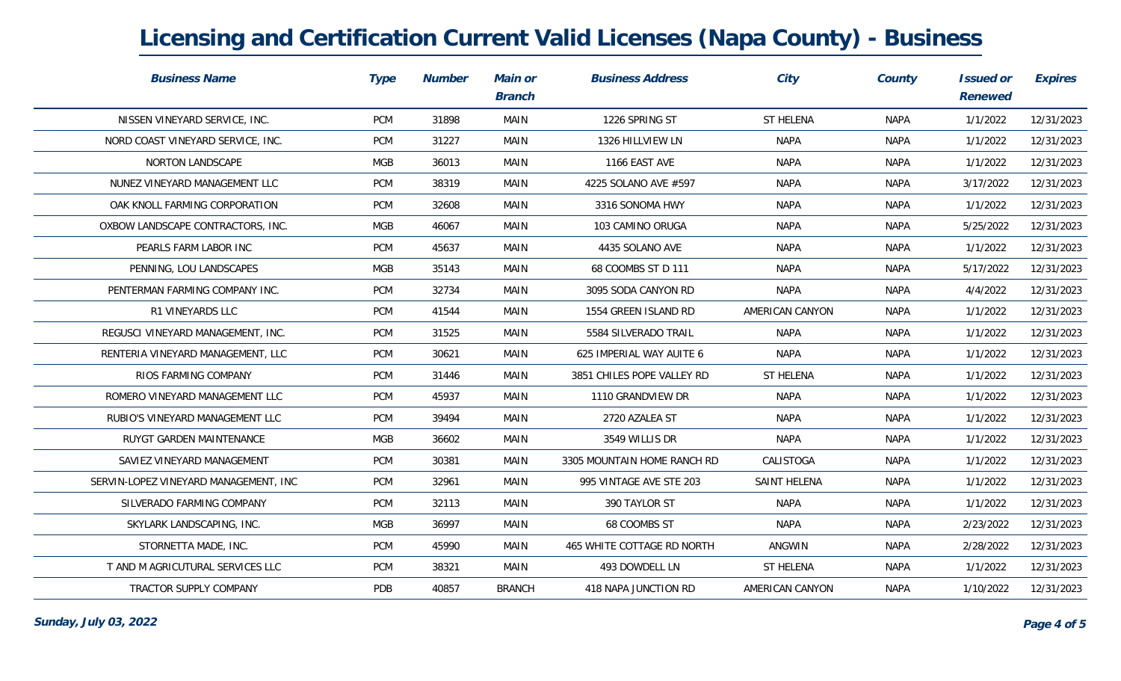| <b>Business Name</b>                  | Type       | <b>Number</b> | Main or<br><b>Branch</b> | <b>Business Address</b>     | City            | County      | Issued or<br>Renewed | Expires    |
|---------------------------------------|------------|---------------|--------------------------|-----------------------------|-----------------|-------------|----------------------|------------|
| NISSEN VINEYARD SERVICE, INC.         | <b>PCM</b> | 31898         | MAIN                     | 1226 SPRING ST              | ST HELENA       | <b>NAPA</b> | 1/1/2022             | 12/31/2023 |
| NORD COAST VINEYARD SERVICE, INC.     | <b>PCM</b> | 31227         | MAIN                     | 1326 HILLVIEW LN            | <b>NAPA</b>     | <b>NAPA</b> | 1/1/2022             | 12/31/2023 |
| NORTON LANDSCAPE                      | MGB        | 36013         | MAIN                     | 1166 EAST AVE               | <b>NAPA</b>     | <b>NAPA</b> | 1/1/2022             | 12/31/2023 |
| NUNEZ VINEYARD MANAGEMENT LLC         | <b>PCM</b> | 38319         | MAIN                     | 4225 SOLANO AVE #597        | <b>NAPA</b>     | <b>NAPA</b> | 3/17/2022            | 12/31/2023 |
| OAK KNOLL FARMING CORPORATION         | <b>PCM</b> | 32608         | MAIN                     | 3316 SONOMA HWY             | <b>NAPA</b>     | NAPA        | 1/1/2022             | 12/31/2023 |
| OXBOW LANDSCAPE CONTRACTORS, INC.     | MGB        | 46067         | MAIN                     | 103 CAMINO ORUGA            | <b>NAPA</b>     | <b>NAPA</b> | 5/25/2022            | 12/31/2023 |
| PEARLS FARM LABOR INC                 | <b>PCM</b> | 45637         | MAIN                     | 4435 SOLANO AVE             | <b>NAPA</b>     | <b>NAPA</b> | 1/1/2022             | 12/31/2023 |
| PENNING, LOU LANDSCAPES               | <b>MGB</b> | 35143         | MAIN                     | 68 COOMBS ST D 111          | <b>NAPA</b>     | <b>NAPA</b> | 5/17/2022            | 12/31/2023 |
| PENTERMAN FARMING COMPANY INC.        | <b>PCM</b> | 32734         | MAIN                     | 3095 SODA CANYON RD         | <b>NAPA</b>     | <b>NAPA</b> | 4/4/2022             | 12/31/2023 |
| R1 VINEYARDS LLC                      | <b>PCM</b> | 41544         | MAIN                     | 1554 GREEN ISLAND RD        | AMERICAN CANYON | NAPA        | 1/1/2022             | 12/31/2023 |
| REGUSCI VINEYARD MANAGEMENT, INC.     | <b>PCM</b> | 31525         | MAIN                     | 5584 SILVERADO TRAIL        | <b>NAPA</b>     | <b>NAPA</b> | 1/1/2022             | 12/31/2023 |
| RENTERIA VINEYARD MANAGEMENT, LLC     | <b>PCM</b> | 30621         | MAIN                     | 625 IMPERIAL WAY AUITE 6    | <b>NAPA</b>     | <b>NAPA</b> | 1/1/2022             | 12/31/2023 |
| RIOS FARMING COMPANY                  | <b>PCM</b> | 31446         | MAIN                     | 3851 CHILES POPE VALLEY RD  | ST HELENA       | <b>NAPA</b> | 1/1/2022             | 12/31/2023 |
| ROMERO VINEYARD MANAGEMENT LLC        | <b>PCM</b> | 45937         | MAIN                     | 1110 GRANDVIEW DR           | <b>NAPA</b>     | <b>NAPA</b> | 1/1/2022             | 12/31/2023 |
| RUBIO'S VINEYARD MANAGEMENT LLC       | <b>PCM</b> | 39494         | MAIN                     | 2720 AZALEA ST              | <b>NAPA</b>     | <b>NAPA</b> | 1/1/2022             | 12/31/2023 |
| RUYGT GARDEN MAINTENANCE              | <b>MGB</b> | 36602         | MAIN                     | 3549 WILLIS DR              | <b>NAPA</b>     | <b>NAPA</b> | 1/1/2022             | 12/31/2023 |
| SAVIEZ VINEYARD MANAGEMENT            | <b>PCM</b> | 30381         | MAIN                     | 3305 MOUNTAIN HOME RANCH RD | CALISTOGA       | <b>NAPA</b> | 1/1/2022             | 12/31/2023 |
| SERVIN-LOPEZ VINEYARD MANAGEMENT, INC | <b>PCM</b> | 32961         | MAIN                     | 995 VINTAGE AVE STE 203     | SAINT HELENA    | <b>NAPA</b> | 1/1/2022             | 12/31/2023 |
| SILVERADO FARMING COMPANY             | <b>PCM</b> | 32113         | MAIN                     | 390 TAYLOR ST               | <b>NAPA</b>     | <b>NAPA</b> | 1/1/2022             | 12/31/2023 |
| SKYLARK LANDSCAPING, INC.             | <b>MGB</b> | 36997         | MAIN                     | 68 COOMBS ST                | <b>NAPA</b>     | <b>NAPA</b> | 2/23/2022            | 12/31/2023 |
| STORNETTA MADE, INC.                  | <b>PCM</b> | 45990         | MAIN                     | 465 WHITE COTTAGE RD NORTH  | ANGWIN          | <b>NAPA</b> | 2/28/2022            | 12/31/2023 |
| T AND M AGRICUTURAL SERVICES LLC      | <b>PCM</b> | 38321         | MAIN                     | 493 DOWDELL LN              | ST HELENA       | <b>NAPA</b> | 1/1/2022             | 12/31/2023 |
| TRACTOR SUPPLY COMPANY                | PDB        | 40857         | <b>BRANCH</b>            | 418 NAPA JUNCTION RD        | AMERICAN CANYON | <b>NAPA</b> | 1/10/2022            | 12/31/2023 |